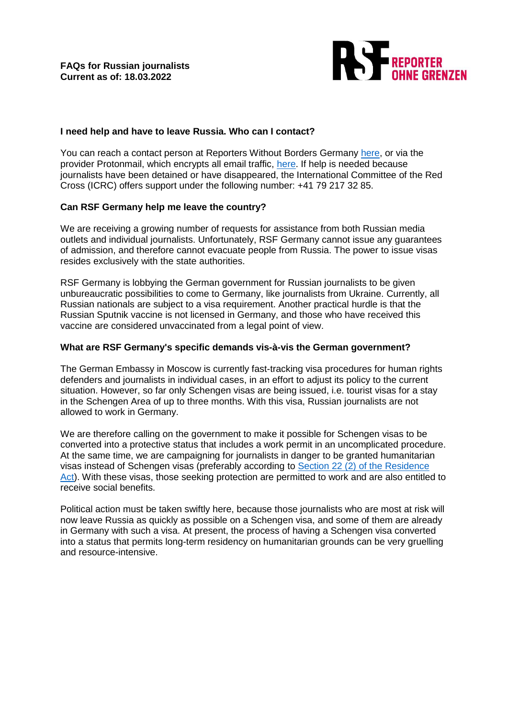

## **I need help and have to leave Russia. Who can I contact?**

You can reach a contact person at Reporters Without Borders Germany [here,](mailto:assistance@reporter-ohne-grenzen.de) or via the provider Protonmail, which encrypts all email traffic, [here.](mailto:rsf-assistance-germany@protonmail.com) If help is needed because journalists have been detained or have disappeared, the International Committee of the Red Cross (ICRC) offers support under the following number: +41 79 217 32 85.

# **Can RSF Germany help me leave the country?**

We are receiving a growing number of requests for assistance from both Russian media outlets and individual journalists. Unfortunately, RSF Germany cannot issue any guarantees of admission, and therefore cannot evacuate people from Russia. The power to issue visas resides exclusively with the state authorities.

RSF Germany is lobbying the German government for Russian journalists to be given unbureaucratic possibilities to come to Germany, like journalists from Ukraine. Currently, all Russian nationals are subject to a visa requirement. Another practical hurdle is that the Russian Sputnik vaccine is not licensed in Germany, and those who have received this vaccine are considered unvaccinated from a legal point of view.

### **What are RSF Germany's specific demands vis-à-vis the German government?**

The German Embassy in Moscow is currently fast-tracking visa procedures for human rights defenders and journalists in individual cases, in an effort to adjust its policy to the current situation. However, so far only Schengen visas are being issued, i.e. tourist visas for a stay in the Schengen Area of up to three months. With this visa, Russian journalists are not allowed to work in Germany.

We are therefore calling on the government to make it possible for Schengen visas to be converted into a protective status that includes a work permit in an uncomplicated procedure. At the same time, we are campaigning for journalists in danger to be granted humanitarian visas instead of Schengen visas (preferably according to [Section 22 \(2\) of the Residence](mailto:https://www.gesetze-im-internet.de/aufenthg_2004/__22.html)  [Act\)](mailto:https://www.gesetze-im-internet.de/aufenthg_2004/__22.html). With these visas, those seeking protection are permitted to work and are also entitled to receive social benefits.

Political action must be taken swiftly here, because those journalists who are most at risk will now leave Russia as quickly as possible on a Schengen visa, and some of them are already in Germany with such a visa. At present, the process of having a Schengen visa converted into a status that permits long-term residency on humanitarian grounds can be very gruelling and resource-intensive.